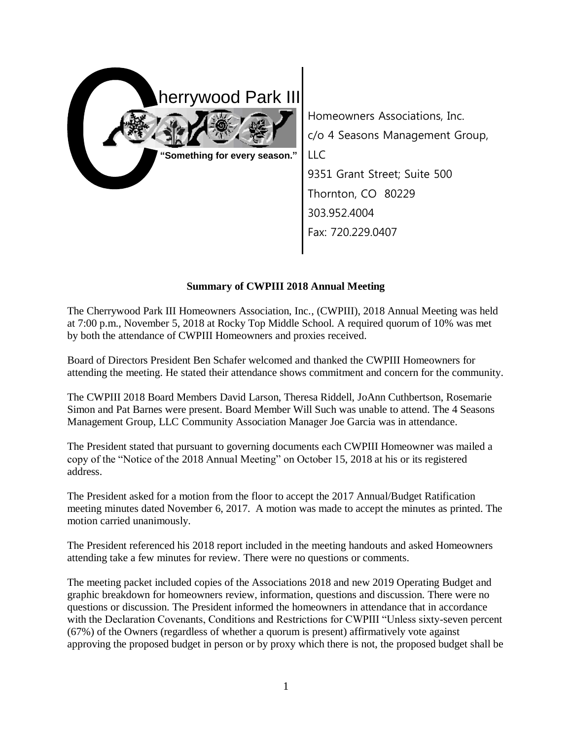

Homeowners Associations, Inc. c/o 4 Seasons Management Group, LLC 9351 Grant Street; Suite 500 Thornton, CO 80229 303.952.4004 Fax: 720.229.0407

## **Summary of CWPIII 2018 Annual Meeting**

The Cherrywood Park III Homeowners Association, Inc., (CWPIII), 2018 Annual Meeting was held at 7:00 p.m., November 5, 2018 at Rocky Top Middle School. A required quorum of 10% was met by both the attendance of CWPIII Homeowners and proxies received.

Board of Directors President Ben Schafer welcomed and thanked the CWPIII Homeowners for attending the meeting. He stated their attendance shows commitment and concern for the community.

The CWPIII 2018 Board Members David Larson, Theresa Riddell, JoAnn Cuthbertson, Rosemarie Simon and Pat Barnes were present. Board Member Will Such was unable to attend. The 4 Seasons Management Group, LLC Community Association Manager Joe Garcia was in attendance.

The President stated that pursuant to governing documents each CWPIII Homeowner was mailed a copy of the "Notice of the 2018 Annual Meeting" on October 15, 2018 at his or its registered address.

The President asked for a motion from the floor to accept the 2017 Annual/Budget Ratification meeting minutes dated November 6, 2017. A motion was made to accept the minutes as printed. The motion carried unanimously.

The President referenced his 2018 report included in the meeting handouts and asked Homeowners attending take a few minutes for review. There were no questions or comments.

The meeting packet included copies of the Associations 2018 and new 2019 Operating Budget and graphic breakdown for homeowners review, information, questions and discussion. There were no questions or discussion. The President informed the homeowners in attendance that in accordance with the Declaration Covenants, Conditions and Restrictions for CWPIII "Unless sixty-seven percent (67%) of the Owners (regardless of whether a quorum is present) affirmatively vote against approving the proposed budget in person or by proxy which there is not, the proposed budget shall be